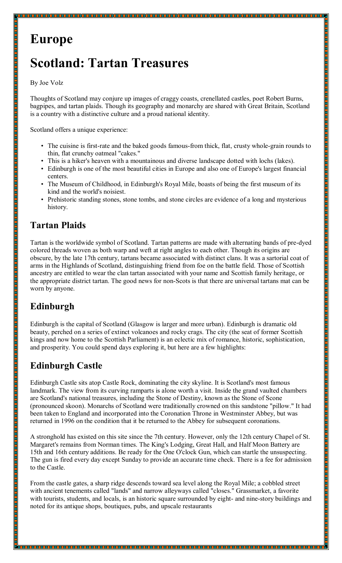# **Europe**

# **Scotland: Tartan Treasures**

#### By Joe Volz

Thoughts of Scotland may conjure up images of craggy coasts, crenellated castles, poet Robert Burns, bagpipes, and tartan plaids. Though its geography and monarchy are shared with Great Britain, Scotland is a country with a distinctive culture and a proud national identity.

Scotland offers a unique experience:

- The cuisine is first-rate and the baked goods famous-from thick, flat, crusty whole-grain rounds to thin, flat crunchy oatmeal "cakes."
- This is a hiker's heaven with a mountainous and diverse landscape dotted with lochs (lakes).
- Edinburgh is one of the most beautiful cities in Europe and also one of Europe's largest financial centers.
- The Museum of Childhood, in Edinburgh's Royal Mile, boasts of being the first museum of its kind and the world's noisiest.
- Prehistoric standing stones, stone tombs, and stone circles are evidence of a long and mysterious history.

### **Tartan Plaids**

Tartan is the worldwide symbol of Scotland. Tartan patterns are made with alternating bands of pre-dyed colored threads woven as both warp and weft at right angles to each other. Though its origins are obscure, by the late 17th century, tartans became associated with distinct clans. It was a sartorial coat of arms in the Highlands of Scotland, distinguishing friend from foe on the battle field. Those of Scottish ancestry are entitled to wear the clan tartan associated with your name and Scottish family heritage, or the appropriate district tartan. The good news for non-Scots is that there are universal tartans mat can be worn by anyone.

# **Edinburgh**

Edinburgh is the capital of Scotland (Glasgow is larger and more urban). Edinburgh is dramatic old beauty, perched on a series of extinct volcanoes and rocky crags. The city (the seat of former Scottish kings and now home to the Scottish Parliament) is an eclectic mix of romance, historic, sophistication, and prosperity. You could spend days exploring it, but here are a few highlights:

### **Edinburgh Castle**

Edinburgh Castle sits atop Castle Rock, dominating the city skyline. It is Scotland's most famous landmark. The view from its curving ramparts is alone worth a visit. Inside the grand vaulted chambers are Scotland's national treasures, including the Stone of Destiny, known as the Stone of Scone (pronounced skoon). Monarchs of Scotland were traditionally crowned on this sandstone "pillow." It had been taken to England and incorporated into the Coronation Throne in Westminster Abbey, but was returned in 1996 on the condition that it be returned to the Abbey for subsequent coronations.

A stronghold has existed on this site since the 7th century. However, only the 12th century Chapel of St. Margaret's remains from Norman times. The King's Lodging, Great Hall, and Half Moon Battery are 15th and 16th century additions. Be ready for the One O'clock Gun, which can startle the unsuspecting. The gun is fired every day except Sunday to provide an accurate time check. There is a fee for admission to the Castle.

From the castle gates, a sharp ridge descends toward sea level along the Royal Mile; a cobbled street with ancient tenements called "lands" and narrow alleyways called "closes." Grassmarket, a favorite with tourists, students, and locals, is an historic square surrounded by eight- and nine-story buildings and noted for its antique shops, boutiques, pubs, and upscale restaurants